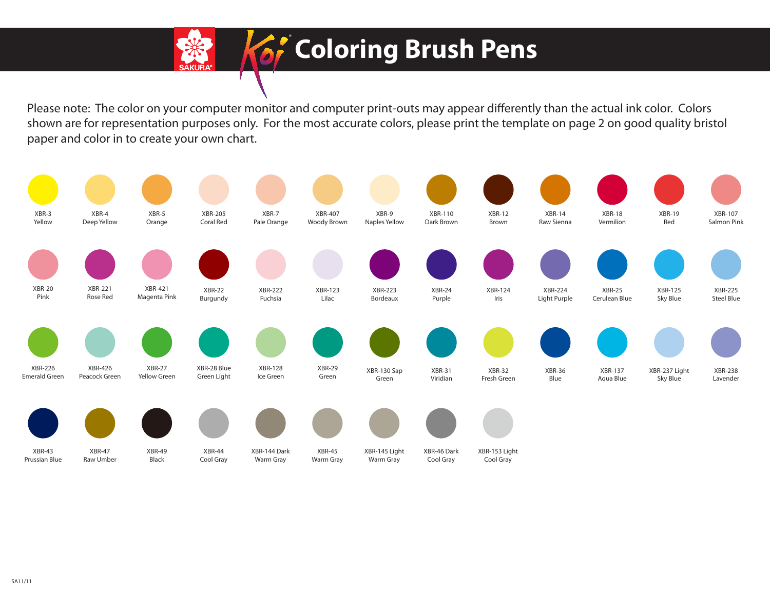

## **Coloring Brush Pens**

Please note: The color on your computer monitor and computer print-outs may appear differently than the actual ink color. Colors shown are for representation purposes only. For the most accurate colors, please print the template on page 2 on good quality bristol paper and color in to create your own chart.